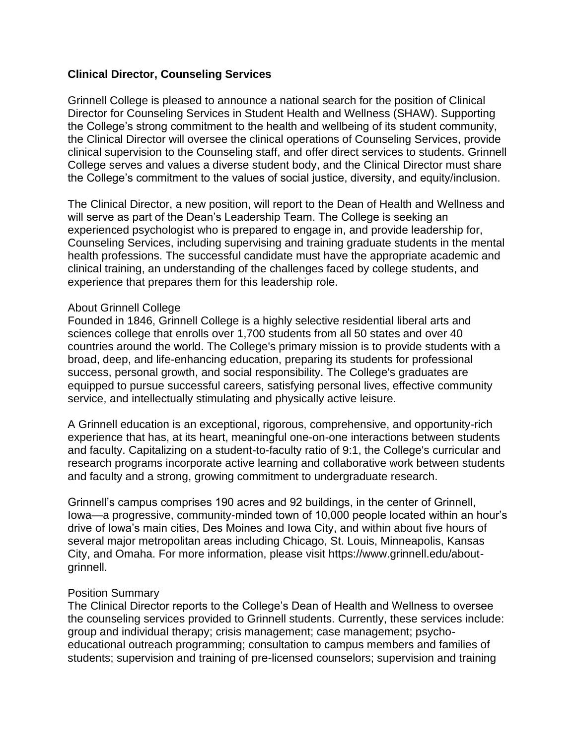## **Clinical Director, Counseling Services**

Grinnell College is pleased to announce a national search for the position of Clinical Director for Counseling Services in Student Health and Wellness (SHAW). Supporting the College's strong commitment to the health and wellbeing of its student community, the Clinical Director will oversee the clinical operations of Counseling Services, provide clinical supervision to the Counseling staff, and offer direct services to students. Grinnell College serves and values a diverse student body, and the Clinical Director must share the College's commitment to the values of social justice, diversity, and equity/inclusion.

The Clinical Director, a new position, will report to the Dean of Health and Wellness and will serve as part of the Dean's Leadership Team. The College is seeking an experienced psychologist who is prepared to engage in, and provide leadership for, Counseling Services, including supervising and training graduate students in the mental health professions. The successful candidate must have the appropriate academic and clinical training, an understanding of the challenges faced by college students, and experience that prepares them for this leadership role.

## About Grinnell College

Founded in 1846, Grinnell College is a highly selective residential liberal arts and sciences college that enrolls over 1,700 students from all 50 states and over 40 countries around the world. The College's primary mission is to provide students with a broad, deep, and life-enhancing education, preparing its students for professional success, personal growth, and social responsibility. The College's graduates are equipped to pursue successful careers, satisfying personal lives, effective community service, and intellectually stimulating and physically active leisure.

A Grinnell education is an exceptional, rigorous, comprehensive, and opportunity-rich experience that has, at its heart, meaningful one-on-one interactions between students and faculty. Capitalizing on a student-to-faculty ratio of 9:1, the College's curricular and research programs incorporate active learning and collaborative work between students and faculty and a strong, growing commitment to undergraduate research.

Grinnell's campus comprises 190 acres and 92 buildings, in the center of Grinnell, Iowa—a progressive, community-minded town of 10,000 people located within an hour's drive of Iowa's main cities, Des Moines and Iowa City, and within about five hours of several major metropolitan areas including Chicago, St. Louis, Minneapolis, Kansas City, and Omaha. For more information, please visit https://www.grinnell.edu/aboutgrinnell.

## Position Summary

The Clinical Director reports to the College's Dean of Health and Wellness to oversee the counseling services provided to Grinnell students. Currently, these services include: group and individual therapy; crisis management; case management; psychoeducational outreach programming; consultation to campus members and families of students; supervision and training of pre-licensed counselors; supervision and training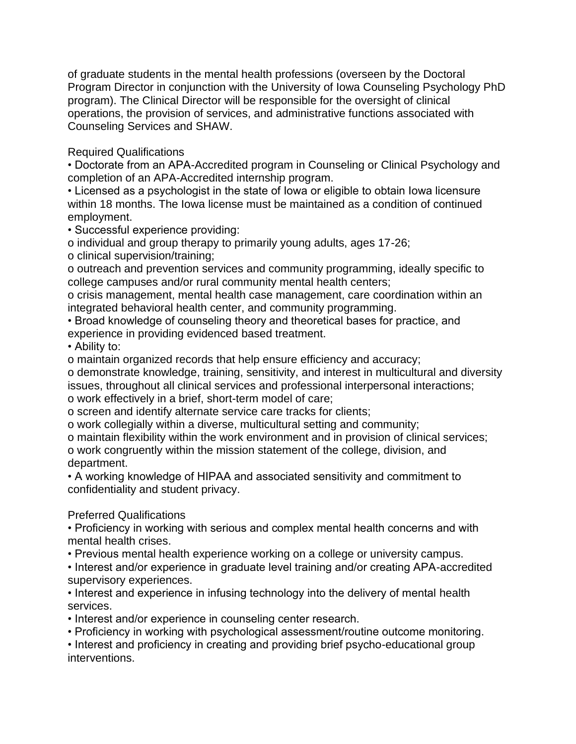of graduate students in the mental health professions (overseen by the Doctoral Program Director in conjunction with the University of Iowa Counseling Psychology PhD program). The Clinical Director will be responsible for the oversight of clinical operations, the provision of services, and administrative functions associated with Counseling Services and SHAW.

Required Qualifications

• Doctorate from an APA-Accredited program in Counseling or Clinical Psychology and completion of an APA-Accredited internship program.

• Licensed as a psychologist in the state of Iowa or eligible to obtain Iowa licensure within 18 months. The Iowa license must be maintained as a condition of continued employment.

• Successful experience providing:

o individual and group therapy to primarily young adults, ages 17-26;

o clinical supervision/training;

o outreach and prevention services and community programming, ideally specific to college campuses and/or rural community mental health centers;

o crisis management, mental health case management, care coordination within an integrated behavioral health center, and community programming.

• Broad knowledge of counseling theory and theoretical bases for practice, and experience in providing evidenced based treatment.

• Ability to:

o maintain organized records that help ensure efficiency and accuracy;

o demonstrate knowledge, training, sensitivity, and interest in multicultural and diversity issues, throughout all clinical services and professional interpersonal interactions; o work effectively in a brief, short-term model of care;

o screen and identify alternate service care tracks for clients;

o work collegially within a diverse, multicultural setting and community;

o maintain flexibility within the work environment and in provision of clinical services; o work congruently within the mission statement of the college, division, and department.

• A working knowledge of HIPAA and associated sensitivity and commitment to confidentiality and student privacy.

# Preferred Qualifications

• Proficiency in working with serious and complex mental health concerns and with mental health crises.

• Previous mental health experience working on a college or university campus.

• Interest and/or experience in graduate level training and/or creating APA-accredited supervisory experiences.

• Interest and experience in infusing technology into the delivery of mental health services.

• Interest and/or experience in counseling center research.

• Proficiency in working with psychological assessment/routine outcome monitoring.

• Interest and proficiency in creating and providing brief psycho-educational group interventions.